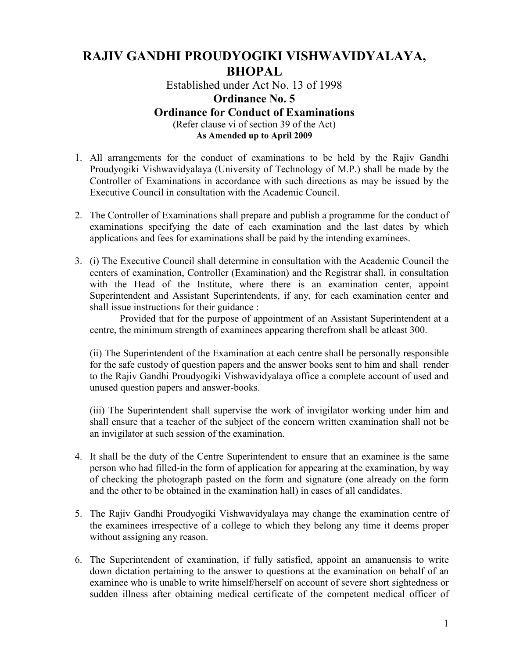## RAJIV GANDHI PROUDYOGIKI VISHWAVIDYALAYA, BHOPAL

Established under Act No. 13 of 1998

## Ordinance No. 5 Ordinance for Conduct of Examinations (Refer clause vi of section 39 of the Act)

As Amended up to April 2009

- 1. All arrangements for the conduct of examinations to be held by the Rajiv Gandhi Proudyogiki Vishwavidyalaya (University of Technology of M.P.) shall be made by the Controller of Examinations in accordance with such directions as may be issued by the Executive Council in consultation with the Academic Council.
- 2. The Controller of Examinations shall prepare and publish a programme for the conduct of examinations specifying the date of each examination and the last dates by which applications and fees for examinations shall be paid by the intending examinees.
- 3. (i) The Executive Council shall determine in consultation with the Academic Council the centers of examination, Controller (Examination) and the Registrar shall, in consultation with the Head of the Institute, where there is an examination center, appoint Superintendent and Assistant Superintendents, if any, for each examination center and shall issue instructions for their guidance :

Provided that for the purpose of appointment of an Assistant Superintendent at a centre, the minimum strength of examinees appearing therefrom shall be atleast 300.

(ii) The Superintendent of the Examination at each centre shall be personally responsible for the safe custody of question papers and the answer books sent to him and shall render to the Rajiv Gandhi Proudyogiki Vishwavidyalaya office a complete account of used and unused question papers and answer-books.

(iii) The Superintendent shall supervise the work of invigilator working under him and shall ensure that a teacher of the subject of the concern written examination shall not be an invigilator at such session of the examination.

- 4. It shall be the duty of the Centre Superintendent to ensure that an examinee is the same person who had filled-in the form of application for appearing at the examination, by way of checking the photograph pasted on the form and signature (one already on the form and the other to be obtained in the examination hall) in cases of all candidates.
- 5. The Rajiv Gandhi Proudyogiki Vishwavidyalaya may change the examination centre of the examinees irrespective of a college to which they belong any time it deems proper without assigning any reason.
- 6. The Superintendent of examination, if fully satisfied, appoint an amanuensis to write down dictation pertaining to the answer to questions at the examination on behalf of an examinee who is unable to write himself/herself on account of severe short sightedness or sudden illness after obtaining medical certificate of the competent medical officer of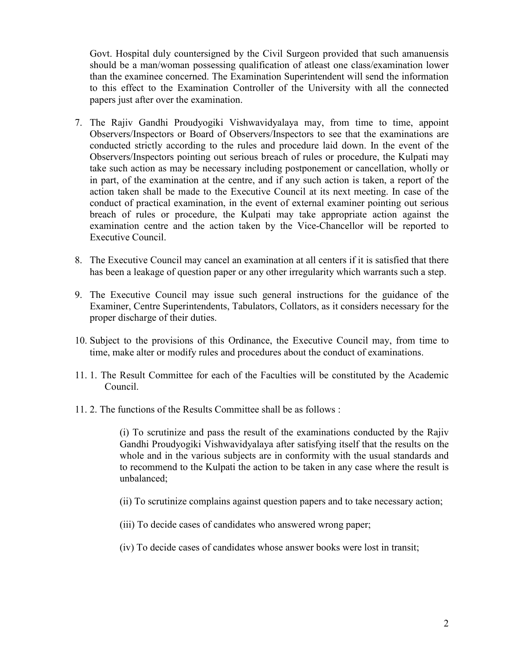Govt. Hospital duly countersigned by the Civil Surgeon provided that such amanuensis should be a man/woman possessing qualification of atleast one class/examination lower than the examinee concerned. The Examination Superintendent will send the information to this effect to the Examination Controller of the University with all the connected papers just after over the examination.

- 7. The Rajiv Gandhi Proudyogiki Vishwavidyalaya may, from time to time, appoint Observers/Inspectors or Board of Observers/Inspectors to see that the examinations are conducted strictly according to the rules and procedure laid down. In the event of the Observers/Inspectors pointing out serious breach of rules or procedure, the Kulpati may take such action as may be necessary including postponement or cancellation, wholly or in part, of the examination at the centre, and if any such action is taken, a report of the action taken shall be made to the Executive Council at its next meeting. In case of the conduct of practical examination, in the event of external examiner pointing out serious breach of rules or procedure, the Kulpati may take appropriate action against the examination centre and the action taken by the Vice-Chancellor will be reported to Executive Council.
- 8. The Executive Council may cancel an examination at all centers if it is satisfied that there has been a leakage of question paper or any other irregularity which warrants such a step.
- 9. The Executive Council may issue such general instructions for the guidance of the Examiner, Centre Superintendents, Tabulators, Collators, as it considers necessary for the proper discharge of their duties.
- 10. Subject to the provisions of this Ordinance, the Executive Council may, from time to time, make alter or modify rules and procedures about the conduct of examinations.
- 11. 1. The Result Committee for each of the Faculties will be constituted by the Academic Council.
- 11. 2. The functions of the Results Committee shall be as follows :

(i) To scrutinize and pass the result of the examinations conducted by the Rajiv Gandhi Proudyogiki Vishwavidyalaya after satisfying itself that the results on the whole and in the various subjects are in conformity with the usual standards and to recommend to the Kulpati the action to be taken in any case where the result is unbalanced;

- (ii) To scrutinize complains against question papers and to take necessary action;
- (iii) To decide cases of candidates who answered wrong paper;
- (iv) To decide cases of candidates whose answer books were lost in transit;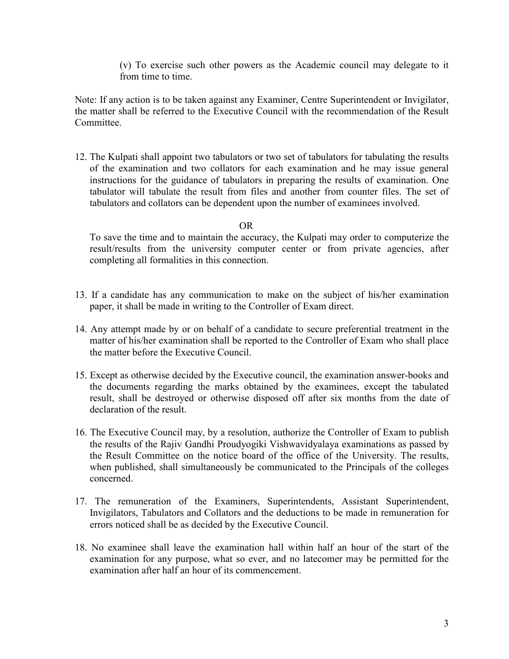(v) To exercise such other powers as the Academic council may delegate to it from time to time.

Note: If any action is to be taken against any Examiner, Centre Superintendent or Invigilator, the matter shall be referred to the Executive Council with the recommendation of the Result Committee.

12. The Kulpati shall appoint two tabulators or two set of tabulators for tabulating the results of the examination and two collators for each examination and he may issue general instructions for the guidance of tabulators in preparing the results of examination. One tabulator will tabulate the result from files and another from counter files. The set of tabulators and collators can be dependent upon the number of examinees involved.

## OR

To save the time and to maintain the accuracy, the Kulpati may order to computerize the result/results from the university computer center or from private agencies, after completing all formalities in this connection.

- 13. If a candidate has any communication to make on the subject of his/her examination paper, it shall be made in writing to the Controller of Exam direct.
- 14. Any attempt made by or on behalf of a candidate to secure preferential treatment in the matter of his/her examination shall be reported to the Controller of Exam who shall place the matter before the Executive Council.
- 15. Except as otherwise decided by the Executive council, the examination answer-books and the documents regarding the marks obtained by the examinees, except the tabulated result, shall be destroyed or otherwise disposed off after six months from the date of declaration of the result.
- 16. The Executive Council may, by a resolution, authorize the Controller of Exam to publish the results of the Rajiv Gandhi Proudyogiki Vishwavidyalaya examinations as passed by the Result Committee on the notice board of the office of the University. The results, when published, shall simultaneously be communicated to the Principals of the colleges concerned.
- 17. The remuneration of the Examiners, Superintendents, Assistant Superintendent, Invigilators, Tabulators and Collators and the deductions to be made in remuneration for errors noticed shall be as decided by the Executive Council.
- 18. No examinee shall leave the examination hall within half an hour of the start of the examination for any purpose, what so ever, and no latecomer may be permitted for the examination after half an hour of its commencement.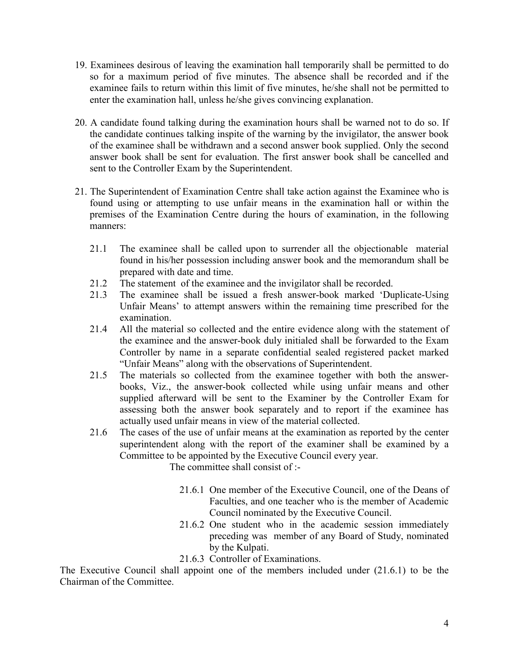- 19. Examinees desirous of leaving the examination hall temporarily shall be permitted to do so for a maximum period of five minutes. The absence shall be recorded and if the examinee fails to return within this limit of five minutes, he/she shall not be permitted to enter the examination hall, unless he/she gives convincing explanation.
- 20. A candidate found talking during the examination hours shall be warned not to do so. If the candidate continues talking inspite of the warning by the invigilator, the answer book of the examinee shall be withdrawn and a second answer book supplied. Only the second answer book shall be sent for evaluation. The first answer book shall be cancelled and sent to the Controller Exam by the Superintendent.
- 21. The Superintendent of Examination Centre shall take action against the Examinee who is found using or attempting to use unfair means in the examination hall or within the premises of the Examination Centre during the hours of examination, in the following manners:
	- 21.1 The examinee shall be called upon to surrender all the objectionable material found in his/her possession including answer book and the memorandum shall be prepared with date and time.
	- 21.2 The statement of the examinee and the invigilator shall be recorded.
	- 21.3 The examinee shall be issued a fresh answer-book marked 'Duplicate-Using Unfair Means' to attempt answers within the remaining time prescribed for the examination.
	- 21.4 All the material so collected and the entire evidence along with the statement of the examinee and the answer-book duly initialed shall be forwarded to the Exam Controller by name in a separate confidential sealed registered packet marked "Unfair Means" along with the observations of Superintendent.
	- 21.5 The materials so collected from the examinee together with both the answerbooks, Viz., the answer-book collected while using unfair means and other supplied afterward will be sent to the Examiner by the Controller Exam for assessing both the answer book separately and to report if the examinee has actually used unfair means in view of the material collected.
	- 21.6 The cases of the use of unfair means at the examination as reported by the center superintendent along with the report of the examiner shall be examined by a Committee to be appointed by the Executive Council every year.

The committee shall consist of :-

- 21.6.1 One member of the Executive Council, one of the Deans of Faculties, and one teacher who is the member of Academic Council nominated by the Executive Council.
- 21.6.2 One student who in the academic session immediately preceding was member of any Board of Study, nominated by the Kulpati.
- 21.6.3 Controller of Examinations.

The Executive Council shall appoint one of the members included under (21.6.1) to be the Chairman of the Committee.